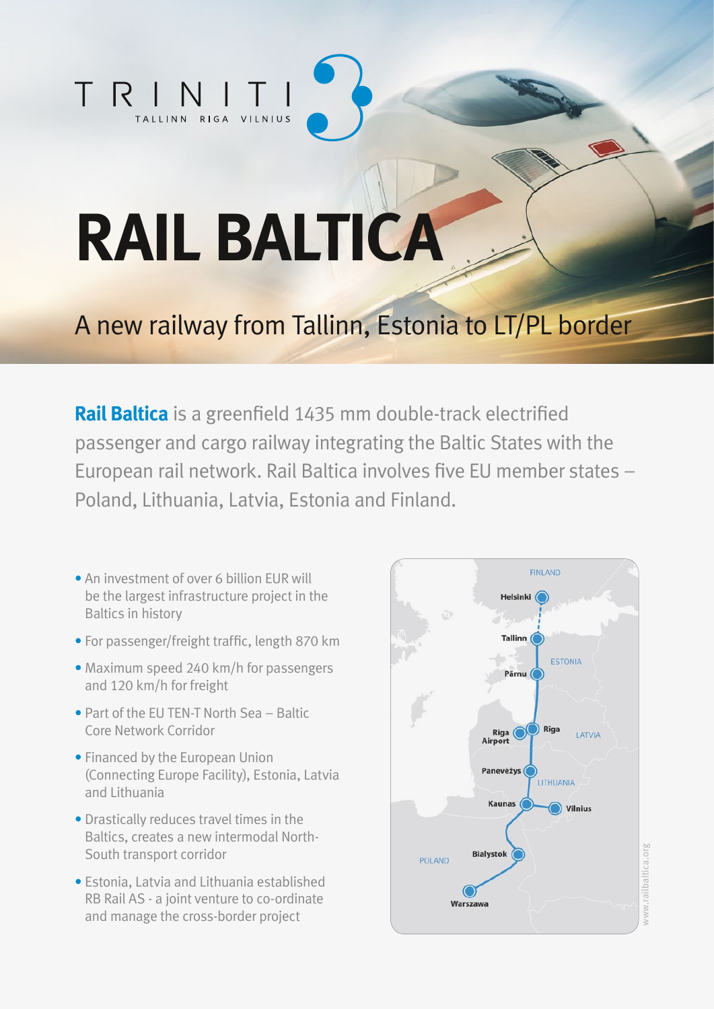## TRIN TALLINN RIGA VILNIUS

# **RAIL BALTICA**

### A new railway from Tallinn, Estonia to LT/PL border

**Rail Baltica** is a greenfield 1435 mm double-track electrified passenger and cargo railway integrating the Baltic States with the European rail network. Rail Baltica involves five EU member states – Poland, Lithuania, Latvia, Estonia and Finland.

- An investment of over 6 billion EUR will be the largest infrastructure project in the Baltics in history
- For passenger/freight traffic, length 870 km
- Maximum speed 240 km/h for passengers and 120 km/h for freight
- Part of the EU TEN-T North Sea Baltic Core Network Corridor
- Financed by the European Union (Connecting Europe Facility), Estonia, Latvia and Lithuania
- Drastically reduces travel times in the Baltics, creates a new intermodal North-South transport corridor
- Estonia, Latvia and Lithuania established RB Rail AS - a joint venture to co-ordinate and manage the cross-border project